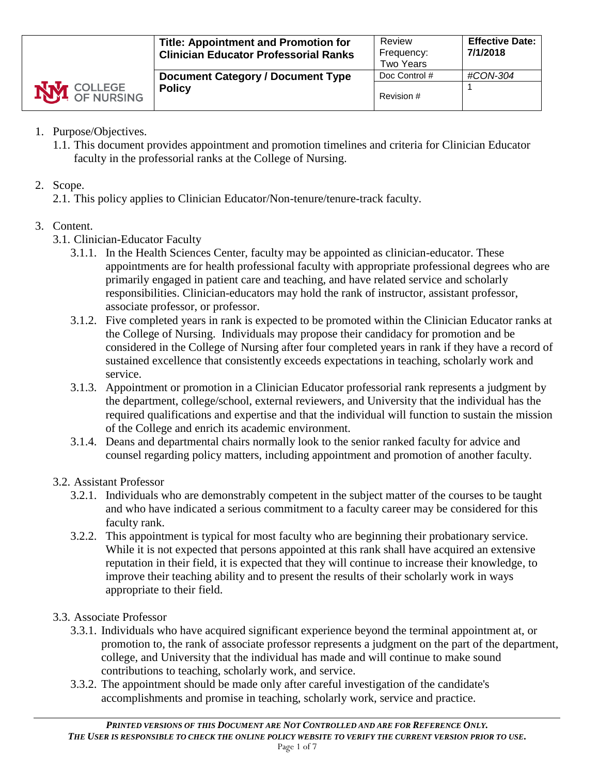|                    | <b>Title: Appointment and Promotion for</b><br><b>Clinician Educator Professorial Ranks</b> | Review<br>Frequency:<br><b>Two Years</b> | <b>Effective Date:</b><br>7/1/2018 |
|--------------------|---------------------------------------------------------------------------------------------|------------------------------------------|------------------------------------|
|                    | <b>Document Category / Document Type</b>                                                    | Doc Control #                            | #CON-304                           |
| <b>NVI</b> COLLEGE | <b>Policy</b>                                                                               | Revision #                               |                                    |

- 1. Purpose/Objectives.
	- 1.1. This document provides appointment and promotion timelines and criteria for Clinician Educator faculty in the professorial ranks at the College of Nursing.

# 2. Scope.

2.1. This policy applies to Clinician Educator/Non-tenure/tenure-track faculty.

# 3. Content.

- 3.1. Clinician-Educator Faculty
	- 3.1.1. In the Health Sciences Center, faculty may be appointed as clinician-educator. These appointments are for health professional faculty with appropriate professional degrees who are primarily engaged in patient care and teaching, and have related service and scholarly responsibilities. Clinician-educators may hold the rank of instructor, assistant professor, associate professor, or professor.
	- 3.1.2. Five completed years in rank is expected to be promoted within the Clinician Educator ranks at the College of Nursing. Individuals may propose their candidacy for promotion and be considered in the College of Nursing after four completed years in rank if they have a record of sustained excellence that consistently exceeds expectations in teaching, scholarly work and service.
	- 3.1.3. Appointment or promotion in a Clinician Educator professorial rank represents a judgment by the department, college/school, external reviewers, and University that the individual has the required qualifications and expertise and that the individual will function to sustain the mission of the College and enrich its academic environment.
	- 3.1.4. Deans and departmental chairs normally look to the senior ranked faculty for advice and counsel regarding policy matters, including appointment and promotion of another faculty.

# 3.2. Assistant Professor

- 3.2.1. Individuals who are demonstrably competent in the subject matter of the courses to be taught and who have indicated a serious commitment to a faculty career may be considered for this faculty rank.
- 3.2.2. This appointment is typical for most faculty who are beginning their probationary service. While it is not expected that persons appointed at this rank shall have acquired an extensive reputation in their field, it is expected that they will continue to increase their knowledge, to improve their teaching ability and to present the results of their scholarly work in ways appropriate to their field.

# 3.3. Associate Professor

- 3.3.1. Individuals who have acquired significant experience beyond the terminal appointment at, or promotion to, the rank of associate professor represents a judgment on the part of the department, college, and University that the individual has made and will continue to make sound contributions to teaching, scholarly work, and service.
- 3.3.2. The appointment should be made only after careful investigation of the candidate's accomplishments and promise in teaching, scholarly work, service and practice.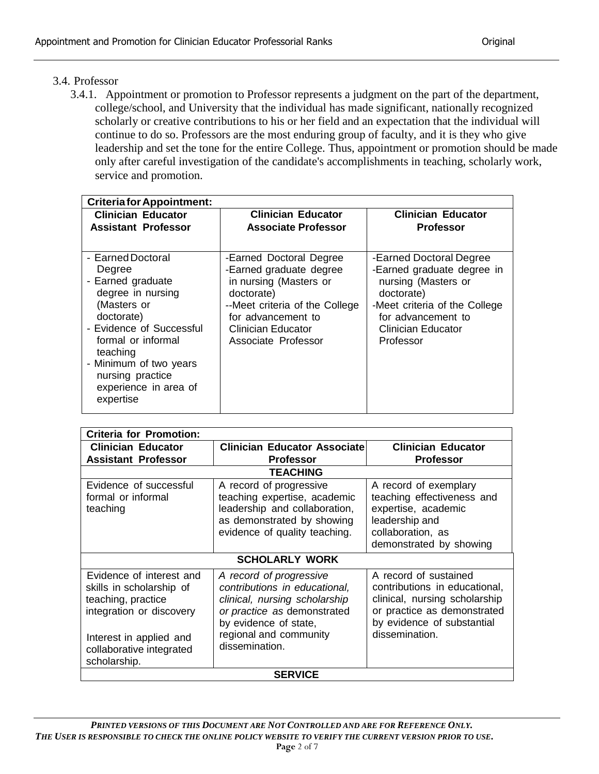# 3.4. Professor

3.4.1. Appointment or promotion to Professor represents a judgment on the part of the department, college/school, and University that the individual has made significant, nationally recognized scholarly or creative contributions to his or her field and an expectation that the individual will continue to do so. Professors are the most enduring group of faculty, and it is they who give leadership and set the tone for the entire College. Thus, appointment or promotion should be made only after careful investigation of the candidate's accomplishments in teaching, scholarly work, service and promotion.

| <b>Criteria for Appointment:</b>                                                                                                                                                                                                        |                                                                                                                                                                                                 |                                                                                                                                                                                      |  |
|-----------------------------------------------------------------------------------------------------------------------------------------------------------------------------------------------------------------------------------------|-------------------------------------------------------------------------------------------------------------------------------------------------------------------------------------------------|--------------------------------------------------------------------------------------------------------------------------------------------------------------------------------------|--|
| <b>Clinician Educator</b>                                                                                                                                                                                                               | <b>Clinician Educator</b>                                                                                                                                                                       | <b>Clinician Educator</b>                                                                                                                                                            |  |
| <b>Assistant Professor</b>                                                                                                                                                                                                              | <b>Associate Professor</b>                                                                                                                                                                      | <b>Professor</b>                                                                                                                                                                     |  |
|                                                                                                                                                                                                                                         |                                                                                                                                                                                                 |                                                                                                                                                                                      |  |
| - Earned Doctoral<br>Degree<br>- Earned graduate<br>degree in nursing<br>(Masters or<br>doctorate)<br>- Evidence of Successful<br>formal or informal<br>teaching<br>- Minimum of two years<br>nursing practice<br>experience in area of | -Earned Doctoral Degree<br>-Earned graduate degree<br>in nursing (Masters or<br>doctorate)<br>--Meet criteria of the College<br>for advancement to<br>Clinician Educator<br>Associate Professor | -Earned Doctoral Degree<br>-Earned graduate degree in<br>nursing (Masters or<br>doctorate)<br>-Meet criteria of the College<br>for advancement to<br>Clinician Educator<br>Professor |  |
| expertise                                                                                                                                                                                                                               |                                                                                                                                                                                                 |                                                                                                                                                                                      |  |

| <b>Criteria for Promotion:</b>                                                                                                                                                |                                                                                                                                                                                               |                                                                                                                                                                        |  |
|-------------------------------------------------------------------------------------------------------------------------------------------------------------------------------|-----------------------------------------------------------------------------------------------------------------------------------------------------------------------------------------------|------------------------------------------------------------------------------------------------------------------------------------------------------------------------|--|
| <b>Clinician Educator</b>                                                                                                                                                     | <b>Clinician Educator Associate</b>                                                                                                                                                           | <b>Clinician Educator</b>                                                                                                                                              |  |
| <b>Assistant Professor</b>                                                                                                                                                    | <b>Professor</b>                                                                                                                                                                              | <b>Professor</b>                                                                                                                                                       |  |
|                                                                                                                                                                               | <b>TEACHING</b>                                                                                                                                                                               |                                                                                                                                                                        |  |
| Evidence of successful<br>formal or informal<br>teaching                                                                                                                      | A record of progressive<br>teaching expertise, academic<br>leadership and collaboration,<br>as demonstrated by showing<br>evidence of quality teaching.                                       | A record of exemplary<br>teaching effectiveness and<br>expertise, academic<br>leadership and<br>collaboration, as<br>demonstrated by showing                           |  |
|                                                                                                                                                                               | <b>SCHOLARLY WORK</b>                                                                                                                                                                         |                                                                                                                                                                        |  |
| Evidence of interest and<br>skills in scholarship of<br>teaching, practice<br>integration or discovery<br>Interest in applied and<br>collaborative integrated<br>scholarship. | A record of progressive<br>contributions in educational,<br>clinical, nursing scholarship<br>or practice as demonstrated<br>by evidence of state,<br>regional and community<br>dissemination. | A record of sustained<br>contributions in educational,<br>clinical, nursing scholarship<br>or practice as demonstrated<br>by evidence of substantial<br>dissemination. |  |
| <b>SERVICE</b>                                                                                                                                                                |                                                                                                                                                                                               |                                                                                                                                                                        |  |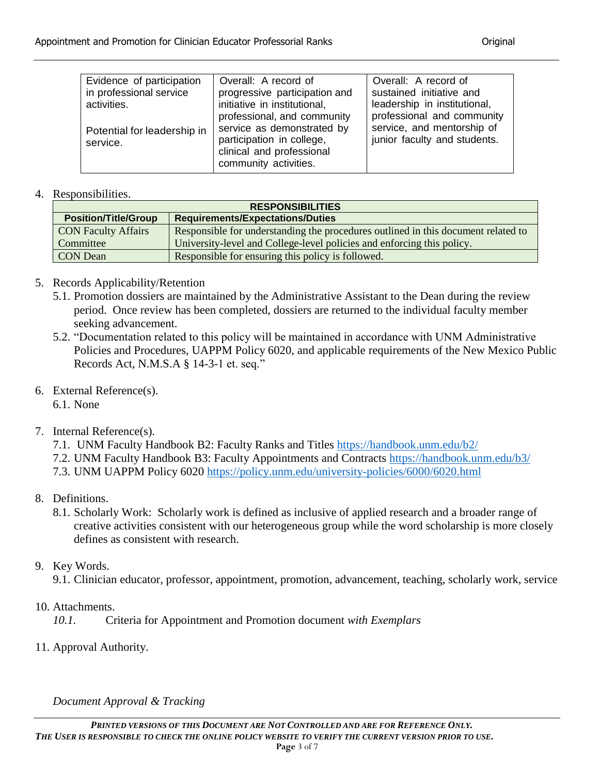| Evidence of participation<br>in professional service<br>activities. | Overall: A record of<br>progressive participation and<br>initiative in institutional,<br>professional, and community | Overall: A record of<br>sustained initiative and<br>leadership in institutional,<br>professional and community |
|---------------------------------------------------------------------|----------------------------------------------------------------------------------------------------------------------|----------------------------------------------------------------------------------------------------------------|
| Potential for leadership in<br>service.                             | service as demonstrated by<br>participation in college,<br>clinical and professional<br>community activities.        | service, and mentorship of<br>junior faculty and students.                                                     |

#### 4. Responsibilities.

| <b>RESPONSIBILITIES</b>     |                                                                                   |  |
|-----------------------------|-----------------------------------------------------------------------------------|--|
| <b>Position/Title/Group</b> | <b>Requirements/Expectations/Duties</b>                                           |  |
| <b>CON Faculty Affairs</b>  | Responsible for understanding the procedures outlined in this document related to |  |
| Committee                   | University-level and College-level policies and enforcing this policy.            |  |
| <b>CON</b> Dean             | Responsible for ensuring this policy is followed.                                 |  |

### 5. Records Applicability/Retention

- 5.1. Promotion dossiers are maintained by the Administrative Assistant to the Dean during the review period. Once review has been completed, dossiers are returned to the individual faculty member seeking advancement.
- 5.2. "Documentation related to this policy will be maintained in accordance with UNM Administrative Policies and Procedures, UAPPM Policy 6020, and applicable requirements of the New Mexico Public Records Act, N.M.S.A § 14-3-1 et. seq."
- 6. External Reference(s).

6.1. None

# 7. Internal Reference(s).

- 7.1. UNM Faculty Handbook B2: Faculty Ranks and Titles <https://handbook.unm.edu/b2/>
- 7.2. UNM Faculty Handbook B3: Faculty Appointments and Contracts<https://handbook.unm.edu/b3/>
- 7.3. UNM UAPPM Policy 6020<https://policy.unm.edu/university-policies/6000/6020.html>
- 8. Definitions.
	- 8.1. Scholarly Work: Scholarly work is defined as inclusive of applied research and a broader range of creative activities consistent with our heterogeneous group while the word scholarship is more closely defines as consistent with research.

# 9. Key Words.

9.1. Clinician educator, professor, appointment, promotion, advancement, teaching, scholarly work, service

10. Attachments.

*10.1.* Criteria for Appointment and Promotion document *with Exemplars*

11. Approval Authority.

### *Document Approval & Tracking*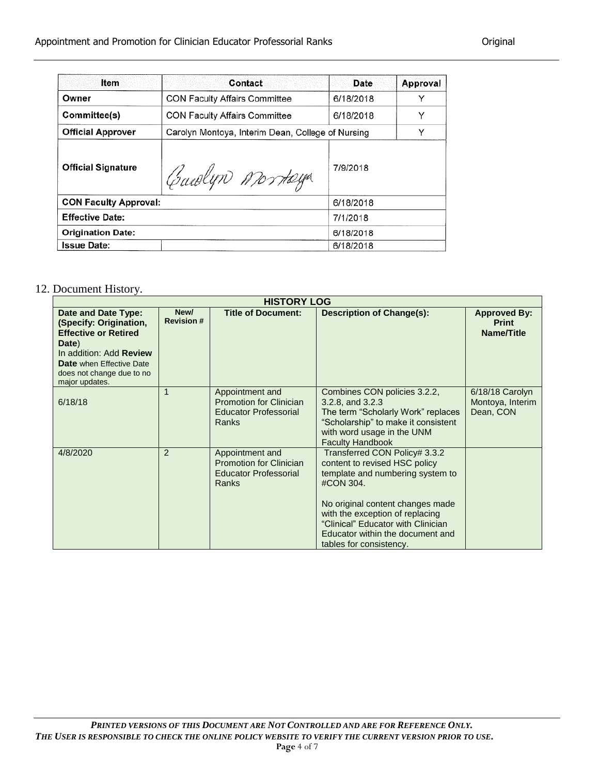| Item                         | Contact                                           | Date      | Approval |
|------------------------------|---------------------------------------------------|-----------|----------|
| Owner                        | <b>CON Faculty Affairs Committee</b>              | 6/18/2018 | Υ        |
| Committee(s)                 | <b>CON Faculty Affairs Committee</b>              | 6/18/2018 | Υ        |
| <b>Official Approver</b>     | Carolyn Montoya, Interim Dean, College of Nursing |           | Υ        |
| <b>Official Signature</b>    | Carolyn Montaga                                   | 7/9/2018  |          |
| <b>CON Faculty Approval:</b> |                                                   | 6/18/2018 |          |
| <b>Effective Date:</b>       |                                                   | 7/1/2018  |          |
| <b>Origination Date:</b>     |                                                   | 6/18/2018 |          |
| <b>Issue Date:</b>           |                                                   | 6/18/2018 |          |

### 12. Document History.

| <b>HISTORY LOG</b>                                                                                                                                                                                        |                           |                                                                                            |                                                                                                                                                                                                                                                                                             |                                                          |
|-----------------------------------------------------------------------------------------------------------------------------------------------------------------------------------------------------------|---------------------------|--------------------------------------------------------------------------------------------|---------------------------------------------------------------------------------------------------------------------------------------------------------------------------------------------------------------------------------------------------------------------------------------------|----------------------------------------------------------|
| Date and Date Type:<br>(Specify: Origination,<br><b>Effective or Retired</b><br>Date)<br>In addition: Add <b>Review</b><br><b>Date</b> when Effective Date<br>does not change due to no<br>major updates. | New/<br><b>Revision #</b> | <b>Title of Document:</b>                                                                  | <b>Description of Change(s):</b>                                                                                                                                                                                                                                                            | <b>Approved By:</b><br><b>Print</b><br><b>Name/Title</b> |
| 6/18/18                                                                                                                                                                                                   |                           | Appointment and<br><b>Promotion for Clinician</b><br><b>Educator Professorial</b><br>Ranks | Combines CON policies 3.2.2,<br>3.2.8, and 3.2.3<br>The term "Scholarly Work" replaces<br>"Scholarship" to make it consistent<br>with word usage in the UNM<br><b>Faculty Handbook</b>                                                                                                      | $6/18/18$ Carolyn<br>Montoya, Interim<br>Dean, CON       |
| 4/8/2020                                                                                                                                                                                                  | 2                         | Appointment and<br><b>Promotion for Clinician</b><br><b>Educator Professorial</b><br>Ranks | Transferred CON Policy# 3.3.2<br>content to revised HSC policy<br>template and numbering system to<br>#CON 304.<br>No original content changes made<br>with the exception of replacing<br>"Clinical" Educator with Clinician<br>Educator within the document and<br>tables for consistency. |                                                          |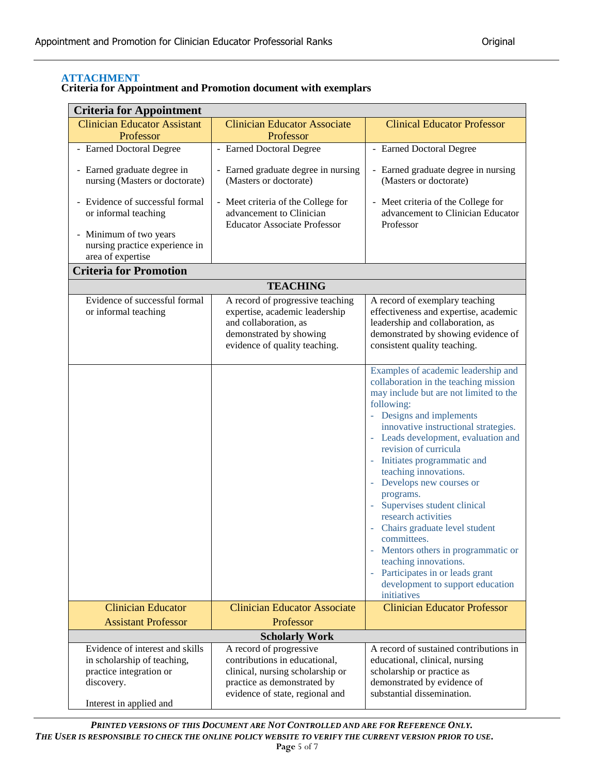#### **ATTACHMENT**

| <b>Criteria for Appointment and Promotion document with exemplars</b> |  |
|-----------------------------------------------------------------------|--|
|-----------------------------------------------------------------------|--|

| <b>Criteria for Appointment</b>                                                                                                    |                                                                                                                                                                |                                                                                                                                                                                                                                                                                                                                                                                                                                                                                                                                                                                                                                  |  |  |  |
|------------------------------------------------------------------------------------------------------------------------------------|----------------------------------------------------------------------------------------------------------------------------------------------------------------|----------------------------------------------------------------------------------------------------------------------------------------------------------------------------------------------------------------------------------------------------------------------------------------------------------------------------------------------------------------------------------------------------------------------------------------------------------------------------------------------------------------------------------------------------------------------------------------------------------------------------------|--|--|--|
| <b>Clinician Educator Assistant</b>                                                                                                | <b>Clinician Educator Associate</b>                                                                                                                            | <b>Clinical Educator Professor</b>                                                                                                                                                                                                                                                                                                                                                                                                                                                                                                                                                                                               |  |  |  |
| Professor                                                                                                                          | Professor                                                                                                                                                      |                                                                                                                                                                                                                                                                                                                                                                                                                                                                                                                                                                                                                                  |  |  |  |
| - Earned Doctoral Degree                                                                                                           | - Earned Doctoral Degree                                                                                                                                       | - Earned Doctoral Degree                                                                                                                                                                                                                                                                                                                                                                                                                                                                                                                                                                                                         |  |  |  |
| - Earned graduate degree in<br>nursing (Masters or doctorate)                                                                      | - Earned graduate degree in nursing<br>(Masters or doctorate)                                                                                                  | - Earned graduate degree in nursing<br>(Masters or doctorate)                                                                                                                                                                                                                                                                                                                                                                                                                                                                                                                                                                    |  |  |  |
| - Evidence of successful formal<br>or informal teaching<br>- Minimum of two years<br>nursing practice experience in                | - Meet criteria of the College for<br>advancement to Clinician<br><b>Educator Associate Professor</b>                                                          | - Meet criteria of the College for<br>advancement to Clinician Educator<br>Professor                                                                                                                                                                                                                                                                                                                                                                                                                                                                                                                                             |  |  |  |
| area of expertise<br><b>Criteria for Promotion</b>                                                                                 |                                                                                                                                                                |                                                                                                                                                                                                                                                                                                                                                                                                                                                                                                                                                                                                                                  |  |  |  |
|                                                                                                                                    |                                                                                                                                                                |                                                                                                                                                                                                                                                                                                                                                                                                                                                                                                                                                                                                                                  |  |  |  |
|                                                                                                                                    | <b>TEACHING</b>                                                                                                                                                |                                                                                                                                                                                                                                                                                                                                                                                                                                                                                                                                                                                                                                  |  |  |  |
| Evidence of successful formal<br>or informal teaching                                                                              | A record of progressive teaching<br>expertise, academic leadership<br>and collaboration, as<br>demonstrated by showing<br>evidence of quality teaching.        | A record of exemplary teaching<br>effectiveness and expertise, academic<br>leadership and collaboration, as<br>demonstrated by showing evidence of<br>consistent quality teaching.                                                                                                                                                                                                                                                                                                                                                                                                                                               |  |  |  |
|                                                                                                                                    |                                                                                                                                                                | Examples of academic leadership and<br>collaboration in the teaching mission<br>may include but are not limited to the<br>following:<br>- Designs and implements<br>innovative instructional strategies.<br>- Leads development, evaluation and<br>revision of curricula<br>Initiates programmatic and<br>teaching innovations.<br>Develops new courses or<br>programs.<br>Supervises student clinical<br>research activities<br>Chairs graduate level student<br>committees.<br>Mentors others in programmatic or<br>teaching innovations.<br>Participates in or leads grant<br>development to support education<br>initiatives |  |  |  |
| <b>Clinician Educator</b>                                                                                                          | <b>Clinician Educator Associate</b>                                                                                                                            | <b>Clinician Educator Professor</b>                                                                                                                                                                                                                                                                                                                                                                                                                                                                                                                                                                                              |  |  |  |
|                                                                                                                                    | <b>Assistant Professor</b><br>Professor                                                                                                                        |                                                                                                                                                                                                                                                                                                                                                                                                                                                                                                                                                                                                                                  |  |  |  |
| <b>Scholarly Work</b>                                                                                                              |                                                                                                                                                                |                                                                                                                                                                                                                                                                                                                                                                                                                                                                                                                                                                                                                                  |  |  |  |
| Evidence of interest and skills<br>in scholarship of teaching,<br>practice integration or<br>discovery.<br>Interest in applied and | A record of progressive<br>contributions in educational,<br>clinical, nursing scholarship or<br>practice as demonstrated by<br>evidence of state, regional and | A record of sustained contributions in<br>educational, clinical, nursing<br>scholarship or practice as<br>demonstrated by evidence of<br>substantial dissemination.                                                                                                                                                                                                                                                                                                                                                                                                                                                              |  |  |  |

*PRINTED VERSIONS OF THIS DOCUMENT ARE NOT CONTROLLED AND ARE FOR REFERENCE ONLY. THE USER IS RESPONSIBLE TO CHECK THE ONLINE POLICY WEBSITE TO VERIFY THE CURRENT VERSION PRIOR TO USE.* **Page** 5 of 7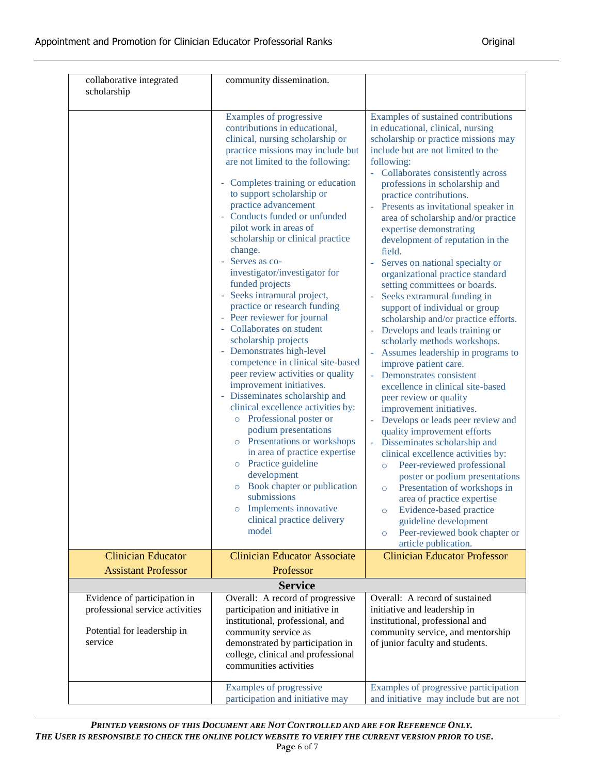| collaborative integrated<br>scholarship                                                                   | community dissemination.                                                                                                                                                                                                                                                                                                                                                                                                                                                                                                                                                                                                                                                                                                                                                                                                                                                                                                                                                                                                                                                                          |                                                                                                                                                                                                                                                                                                                                                                                                                                                                                                                                                                                                                                                                                                                                                                                                                                                                                                                                                                                                                                                                                                                                                                                                                                                                                                                                      |
|-----------------------------------------------------------------------------------------------------------|---------------------------------------------------------------------------------------------------------------------------------------------------------------------------------------------------------------------------------------------------------------------------------------------------------------------------------------------------------------------------------------------------------------------------------------------------------------------------------------------------------------------------------------------------------------------------------------------------------------------------------------------------------------------------------------------------------------------------------------------------------------------------------------------------------------------------------------------------------------------------------------------------------------------------------------------------------------------------------------------------------------------------------------------------------------------------------------------------|--------------------------------------------------------------------------------------------------------------------------------------------------------------------------------------------------------------------------------------------------------------------------------------------------------------------------------------------------------------------------------------------------------------------------------------------------------------------------------------------------------------------------------------------------------------------------------------------------------------------------------------------------------------------------------------------------------------------------------------------------------------------------------------------------------------------------------------------------------------------------------------------------------------------------------------------------------------------------------------------------------------------------------------------------------------------------------------------------------------------------------------------------------------------------------------------------------------------------------------------------------------------------------------------------------------------------------------|
|                                                                                                           | Examples of progressive<br>contributions in educational,<br>clinical, nursing scholarship or<br>practice missions may include but<br>are not limited to the following:<br>Completes training or education<br>to support scholarship or<br>practice advancement<br>Conducts funded or unfunded<br>pilot work in areas of<br>scholarship or clinical practice<br>change.<br>Serves as co-<br>investigator/investigator for<br>funded projects<br>Seeks intramural project,<br>practice or research funding<br>- Peer reviewer for journal<br>Collaborates on student<br>scholarship projects<br>Demonstrates high-level<br>competence in clinical site-based<br>peer review activities or quality<br>improvement initiatives.<br>- Disseminates scholarship and<br>clinical excellence activities by:<br>o Professional poster or<br>podium presentations<br>o Presentations or workshops<br>in area of practice expertise<br>Practice guideline<br>$\circ$<br>development<br>Book chapter or publication<br>$\circ$<br>submissions<br>Implements innovative<br>clinical practice delivery<br>model | Examples of sustained contributions<br>in educational, clinical, nursing<br>scholarship or practice missions may<br>include but are not limited to the<br>following:<br>Collaborates consistently across<br>professions in scholarship and<br>practice contributions.<br>Presents as invitational speaker in<br>area of scholarship and/or practice<br>expertise demonstrating<br>development of reputation in the<br>field.<br>Serves on national specialty or<br>organizational practice standard<br>setting committees or boards.<br>Seeks extramural funding in<br>support of individual or group<br>scholarship and/or practice efforts.<br>Develops and leads training or<br>scholarly methods workshops.<br>Assumes leadership in programs to<br>improve patient care.<br>Demonstrates consistent<br>excellence in clinical site-based<br>peer review or quality<br>improvement initiatives.<br>Develops or leads peer review and<br>quality improvement efforts<br>Disseminates scholarship and<br>clinical excellence activities by:<br>Peer-reviewed professional<br>$\circ$<br>poster or podium presentations<br>Presentation of workshops in<br>$\circ$<br>area of practice expertise<br>Evidence-based practice<br>$\circ$<br>guideline development<br>Peer-reviewed book chapter or<br>$\circ$<br>article publication. |
| <b>Clinician Educator</b>                                                                                 | <b>Clinician Educator Associate</b>                                                                                                                                                                                                                                                                                                                                                                                                                                                                                                                                                                                                                                                                                                                                                                                                                                                                                                                                                                                                                                                               | <b>Clinician Educator Professor</b>                                                                                                                                                                                                                                                                                                                                                                                                                                                                                                                                                                                                                                                                                                                                                                                                                                                                                                                                                                                                                                                                                                                                                                                                                                                                                                  |
| <b>Assistant Professor</b>                                                                                | Professor                                                                                                                                                                                                                                                                                                                                                                                                                                                                                                                                                                                                                                                                                                                                                                                                                                                                                                                                                                                                                                                                                         |                                                                                                                                                                                                                                                                                                                                                                                                                                                                                                                                                                                                                                                                                                                                                                                                                                                                                                                                                                                                                                                                                                                                                                                                                                                                                                                                      |
|                                                                                                           | <b>Service</b>                                                                                                                                                                                                                                                                                                                                                                                                                                                                                                                                                                                                                                                                                                                                                                                                                                                                                                                                                                                                                                                                                    |                                                                                                                                                                                                                                                                                                                                                                                                                                                                                                                                                                                                                                                                                                                                                                                                                                                                                                                                                                                                                                                                                                                                                                                                                                                                                                                                      |
| Evidence of participation in<br>professional service activities<br>Potential for leadership in<br>service | Overall: A record of progressive<br>participation and initiative in<br>institutional, professional, and<br>community service as<br>demonstrated by participation in<br>college, clinical and professional<br>communities activities                                                                                                                                                                                                                                                                                                                                                                                                                                                                                                                                                                                                                                                                                                                                                                                                                                                               | Overall: A record of sustained<br>initiative and leadership in<br>institutional, professional and<br>community service, and mentorship<br>of junior faculty and students.                                                                                                                                                                                                                                                                                                                                                                                                                                                                                                                                                                                                                                                                                                                                                                                                                                                                                                                                                                                                                                                                                                                                                            |
|                                                                                                           | Examples of progressive<br>participation and initiative may                                                                                                                                                                                                                                                                                                                                                                                                                                                                                                                                                                                                                                                                                                                                                                                                                                                                                                                                                                                                                                       | Examples of progressive participation<br>and initiative may include but are not                                                                                                                                                                                                                                                                                                                                                                                                                                                                                                                                                                                                                                                                                                                                                                                                                                                                                                                                                                                                                                                                                                                                                                                                                                                      |

*PRINTED VERSIONS OF THIS DOCUMENT ARE NOT CONTROLLED AND ARE FOR REFERENCE ONLY. THE USER IS RESPONSIBLE TO CHECK THE ONLINE POLICY WEBSITE TO VERIFY THE CURRENT VERSION PRIOR TO USE.* **Page** 6 of 7